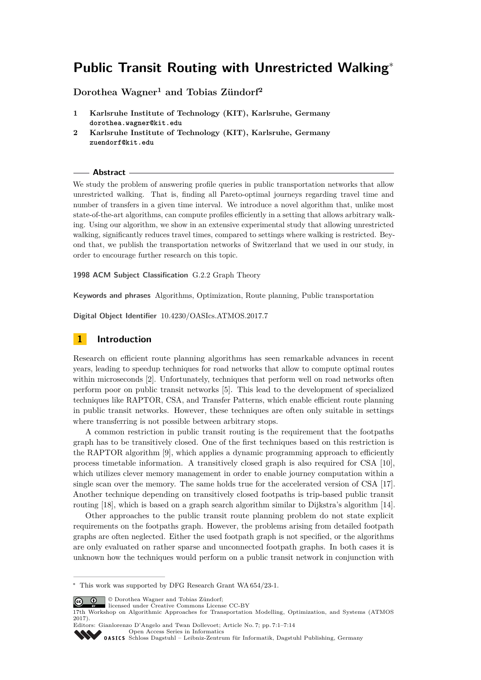# **Public Transit Routing with Unrestricted Walking**<sup>∗</sup>

# **Dorothea Wagner<sup>1</sup> and Tobias Zündorf<sup>2</sup>**

- **1 Karlsruhe Institute of Technology (KIT), Karlsruhe, Germany dorothea.wagner@kit.edu**
- **2 Karlsruhe Institute of Technology (KIT), Karlsruhe, Germany zuendorf@kit.edu**

## **Abstract**

We study the problem of answering profile queries in public transportation networks that allow unrestricted walking. That is, finding all Pareto-optimal journeys regarding travel time and number of transfers in a given time interval. We introduce a novel algorithm that, unlike most state-of-the-art algorithms, can compute profiles efficiently in a setting that allows arbitrary walking. Using our algorithm, we show in an extensive experimental study that allowing unrestricted walking, significantly reduces travel times, compared to settings where walking is restricted. Beyond that, we publish the transportation networks of Switzerland that we used in our study, in order to encourage further research on this topic.

**1998 ACM Subject Classification** G.2.2 Graph Theory

**Keywords and phrases** Algorithms, Optimization, Route planning, Public transportation

**Digital Object Identifier** [10.4230/OASIcs.ATMOS.2017.7](http://dx.doi.org/10.4230/OASIcs.ATMOS.2017.7)

# **1 Introduction**

Research on efficient route planning algorithms has seen remarkable advances in recent years, leading to speedup techniques for road networks that allow to compute optimal routes within microseconds [\[2\]](#page-12-0). Unfortunately, techniques that perform well on road networks often perform poor on public transit networks [\[5\]](#page-12-1). This lead to the development of specialized techniques like RAPTOR, CSA, and Transfer Patterns, which enable efficient route planning in public transit networks. However, these techniques are often only suitable in settings where transferring is not possible between arbitrary stops.

A common restriction in public transit routing is the requirement that the footpaths graph has to be transitively closed. One of the first techniques based on this restriction is the RAPTOR algorithm [\[9\]](#page-13-0), which applies a dynamic programming approach to efficiently process timetable information. A transitively closed graph is also required for CSA [\[10\]](#page-13-1), which utilizes clever memory management in order to enable journey computation within a single scan over the memory. The same holds true for the accelerated version of CSA [\[17\]](#page-13-2). Another technique depending on transitively closed footpaths is trip-based public transit routing [\[18\]](#page-13-3), which is based on a graph search algorithm similar to Dijkstra's algorithm [\[14\]](#page-13-4).

Other approaches to the public transit route planning problem do not state explicit requirements on the footpaths graph. However, the problems arising from detailed footpath graphs are often neglected. Either the used footpath graph is not specified, or the algorithms are only evaluated on rather sparse and unconnected footpath graphs. In both cases it is unknown how the techniques would perform on a public transit network in conjunction with

© Dorothea Wagner and Tobias Zündorf;



<sup>17</sup>th Workshop on Algorithmic Approaches for Transportation Modelling, Optimization, and Systems (ATMOS 2017).

<sup>∗</sup> This work was supported by DFG Research Grant WA 654/23-1.

Editors: Gianlorenzo D'Angelo and Twan Dollevoet; Article No. 7; pp. 7:1–7[:14](#page-13-5) [Open Access Series in Informatics](http://www.dagstuhl.de/oasics/)

OASICS [Schloss Dagstuhl – Leibniz-Zentrum für Informatik, Dagstuhl Publishing, Germany](http://www.dagstuhl.de)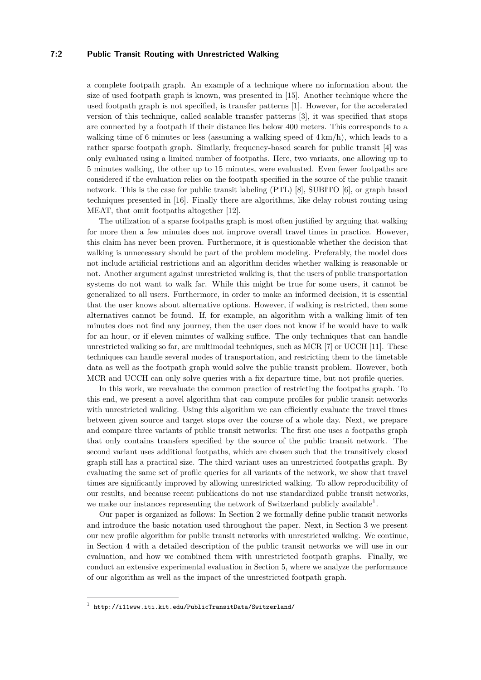## **7:2 Public Transit Routing with Unrestricted Walking**

a complete footpath graph. An example of a technique where no information about the size of used footpath graph is known, was presented in [\[15\]](#page-13-6). Another technique where the used footpath graph is not specified, is transfer patterns [\[1\]](#page-12-2). However, for the accelerated version of this technique, called scalable transfer patterns [\[3\]](#page-12-3), it was specified that stops are connected by a footpath if their distance lies below 400 meters. This corresponds to a walking time of 6 minutes or less (assuming a walking speed of  $4 \text{ km/h}$ ), which leads to a rather sparse footpath graph. Similarly, frequency-based search for public transit [\[4\]](#page-12-4) was only evaluated using a limited number of footpaths. Here, two variants, one allowing up to 5 minutes walking, the other up to 15 minutes, were evaluated. Even fewer footpaths are considered if the evaluation relies on the footpath specified in the source of the public transit network. This is the case for public transit labeling (PTL) [\[8\]](#page-12-5), SUBITO [\[6\]](#page-12-6), or graph based techniques presented in [\[16\]](#page-13-7). Finally there are algorithms, like delay robust routing using MEAT, that omit footpaths altogether [\[12\]](#page-13-8).

The utilization of a sparse footpaths graph is most often justified by arguing that walking for more then a few minutes does not improve overall travel times in practice. However, this claim has never been proven. Furthermore, it is questionable whether the decision that walking is unnecessary should be part of the problem modeling. Preferably, the model does not include artificial restrictions and an algorithm decides whether walking is reasonable or not. Another argument against unrestricted walking is, that the users of public transportation systems do not want to walk far. While this might be true for some users, it cannot be generalized to all users. Furthermore, in order to make an informed decision, it is essential that the user knows about alternative options. However, if walking is restricted, then some alternatives cannot be found. If, for example, an algorithm with a walking limit of ten minutes does not find any journey, then the user does not know if he would have to walk for an hour, or if eleven minutes of walking suffice. The only techniques that can handle unrestricted walking so far, are multimodal techniques, such as MCR [\[7\]](#page-12-7) or UCCH [\[11\]](#page-13-9). These techniques can handle several modes of transportation, and restricting them to the timetable data as well as the footpath graph would solve the public transit problem. However, both MCR and UCCH can only solve queries with a fix departure time, but not profile queries.

In this work, we reevaluate the common practice of restricting the footpaths graph. To this end, we present a novel algorithm that can compute profiles for public transit networks with unrestricted walking. Using this algorithm we can efficiently evaluate the travel times between given source and target stops over the course of a whole day. Next, we prepare and compare three variants of public transit networks: The first one uses a footpaths graph that only contains transfers specified by the source of the public transit network. The second variant uses additional footpaths, which are chosen such that the transitively closed graph still has a practical size. The third variant uses an unrestricted footpaths graph. By evaluating the same set of profile queries for all variants of the network, we show that travel times are significantly improved by allowing unrestricted walking. To allow reproducibility of our results, and because recent publications do not use standardized public transit networks, we make our instances representing the network of Switzerland publicly available<sup>[1](#page-1-0)</sup>.

Our paper is organized as follows: In Section [2](#page-2-0) we formally define public transit networks and introduce the basic notation used throughout the paper. Next, in Section [3](#page-3-0) we present our new profile algorithm for public transit networks with unrestricted walking. We continue, in Section [4](#page-5-0) with a detailed description of the public transit networks we will use in our evaluation, and how we combined them with unrestricted footpath graphs. Finally, we conduct an extensive experimental evaluation in Section [5,](#page-6-0) where we analyze the performance of our algorithm as well as the impact of the unrestricted footpath graph.

<span id="page-1-0"></span><sup>1</sup> <http://i11www.iti.kit.edu/PublicTransitData/Switzerland/>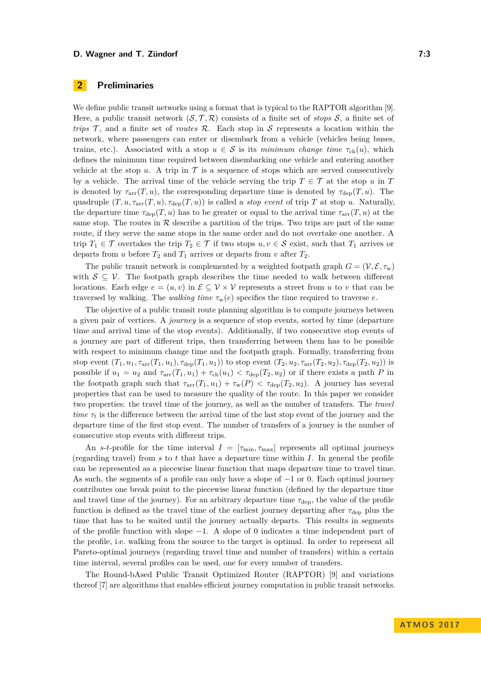# <span id="page-2-0"></span>**2 Preliminaries**

We define public transit networks using a format that is typical to the RAPTOR algorithm [\[9\]](#page-13-0). Here, a public transit network  $(S, \mathcal{T}, \mathcal{R})$  consists of a finite set of *stops*  $S$ , a finite set of *trips*  $\mathcal{T}$ , and a finite set of *routes*  $\mathcal{R}$ . Each stop in S represents a location within the network, where passengers can enter or disembark from a vehicle (vehicles being buses, trains, etc.). Associated with a stop  $u \in S$  is its *minimum change time*  $\tau_{ch}(u)$ , which defines the minimum time required between disembarking one vehicle and entering another vehicle at the stop  $u$ . A trip in  $\mathcal T$  is a sequence of stops which are served consecutively by a vehicle. The arrival time of the vehicle serving the trip  $T \in \mathcal{T}$  at the stop *u* in *T* is denoted by  $\tau_{\text{arr}}(T, u)$ , the corresponding departure time is denoted by  $\tau_{\text{dep}}(T, u)$ . The quadruple  $(T, u, \tau_{\text{arr}}(T, u), \tau_{\text{dep}}(T, u))$  is called a *stop event* of trip *T* at stop *u*. Naturally, the departure time  $\tau_{\text{dep}}(T, u)$  has to be greater or equal to the arrival time  $\tau_{\text{arr}}(T, u)$  at the same stop. The routes in  $R$  describe a partition of the trips. Two trips are part of the same route, if they serve the same stops in the same order and do not overtake one another. A trip  $T_1 \in \mathcal{T}$  overtakes the trip  $T_2 \in \mathcal{T}$  if two stops  $u, v \in \mathcal{S}$  exist, such that  $T_1$  arrives or departs from *u* before  $T_2$  and  $T_1$  arrives or departs from *v* after  $T_2$ .

The public transit network is complemented by a weighted footpath graph  $G = (\mathcal{V}, \mathcal{E}, \tau_w)$ with  $S \subseteq V$ . The footpath graph describes the time needed to walk between different locations. Each edge  $e = (u, v)$  in  $\mathcal{E} \subseteq \mathcal{V} \times \mathcal{V}$  represents a street from *u* to *v* that can be traversed by walking. The *walking time*  $\tau_w(e)$  specifies the time required to traverse *e*.

The objective of a public transit route planning algorithm is to compute journeys between a given pair of vertices. A *journey* is a sequence of stop events, sorted by time (departure time and arrival time of the stop events). Additionally, if two consecutive stop events of a journey are part of different trips, then transferring between them has to be possible with respect to minimum change time and the footpath graph. Formally, transferring from stop event  $(T_1, u_1, \tau_{\text{arr}}(T_1, u_1), \tau_{\text{dep}}(T_1, u_1))$  to stop event  $(T_2, u_2, \tau_{\text{arr}}(T_2, u_2), \tau_{\text{dep}}(T_2, u_2))$  is possible if  $u_1 = u_2$  and  $\tau_{\text{arr}}(T_1, u_1) + \tau_{\text{ch}}(u_1) < \tau_{\text{dep}}(T_2, u_2)$  or if there exists a path *P* in the footpath graph such that  $\tau_{\text{arr}}(T_1, u_1) + \tau_w(P) < \tau_{\text{dep}}(T_2, u_2)$ . A journey has several properties that can be used to measure the quality of the route. In this paper we consider two properties: the travel time of the journey, as well as the number of transfers. The *travel time*  $\tau_t$  is the difference between the arrival time of the last stop event of the journey and the departure time of the first stop event. The number of transfers of a journey is the number of consecutive stop events with different trips.

An *s*-*t*-profile for the time interval  $I = [\tau_{\min}, \tau_{\max}]$  represents all optimal journeys (regarding travel) from *s* to *t* that have a departure time within *I*. In general the profile can be represented as a piecewise linear function that maps departure time to travel time. As such, the segments of a profile can only have a slope of −1 or 0. Each optimal journey contributes one break point to the piecewise linear function (defined by the departure time and travel time of the journey). For an arbitrary departure time  $\tau_{\text{den}}$ , the value of the profile function is defined as the travel time of the earliest journey departing after *τ*dep plus the time that has to be waited until the journey actually departs. This results in segments of the profile function with slope −1. A slope of 0 indicates a time independent part of the profile, i.e. walking from the source to the target is optimal. In order to represent all Pareto-optimal journeys (regarding travel time and number of transfers) within a certain time interval, several profiles can be used, one for every number of transfers.

The Round-bAsed Public Transit Optimized Router (RAPTOR) [\[9\]](#page-13-0) and variations thereof [\[7\]](#page-12-7) are algorithms that enables efficient journey computation in public transit networks.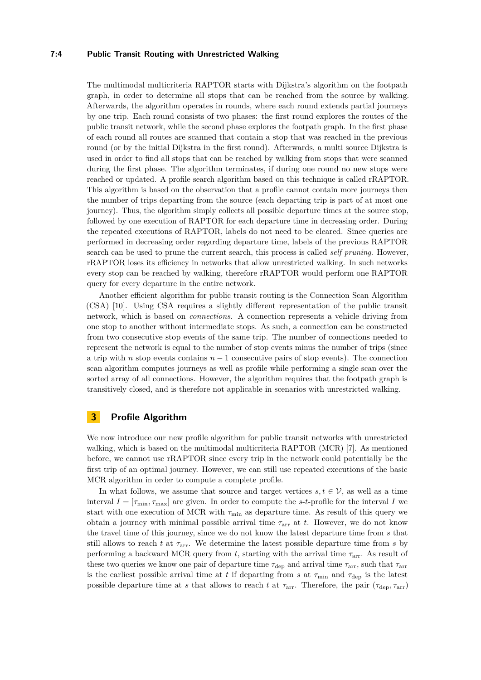## **7:4 Public Transit Routing with Unrestricted Walking**

The multimodal multicriteria RAPTOR starts with Dijkstra's algorithm on the footpath graph, in order to determine all stops that can be reached from the source by walking. Afterwards, the algorithm operates in rounds, where each round extends partial journeys by one trip. Each round consists of two phases: the first round explores the routes of the public transit network, while the second phase explores the footpath graph. In the first phase of each round all routes are scanned that contain a stop that was reached in the previous round (or by the initial Dijkstra in the first round). Afterwards, a multi source Dijkstra is used in order to find all stops that can be reached by walking from stops that were scanned during the first phase. The algorithm terminates, if during one round no new stops were reached or updated. A profile search algorithm based on this technique is called rRAPTOR. This algorithm is based on the observation that a profile cannot contain more journeys then the number of trips departing from the source (each departing trip is part of at most one journey). Thus, the algorithm simply collects all possible departure times at the source stop, followed by one execution of RAPTOR for each departure time in decreasing order. During the repeated executions of RAPTOR, labels do not need to be cleared. Since queries are performed in decreasing order regarding departure time, labels of the previous RAPTOR search can be used to prune the current search, this process is called *self pruning*. However, rRAPTOR loses its efficiency in networks that allow unrestricted walking. In such networks every stop can be reached by walking, therefore rRAPTOR would perform one RAPTOR query for every departure in the entire network.

Another efficient algorithm for public transit routing is the Connection Scan Algorithm (CSA) [\[10\]](#page-13-1). Using CSA requires a slightly different representation of the public transit network, which is based on *connections*. A connection represents a vehicle driving from one stop to another without intermediate stops. As such, a connection can be constructed from two consecutive stop events of the same trip. The number of connections needed to represent the network is equal to the number of stop events minus the number of trips (since a trip with *n* stop events contains *n* − 1 consecutive pairs of stop events). The connection scan algorithm computes journeys as well as profile while performing a single scan over the sorted array of all connections. However, the algorithm requires that the footpath graph is transitively closed, and is therefore not applicable in scenarios with unrestricted walking.

# <span id="page-3-0"></span>**3 Profile Algorithm**

We now introduce our new profile algorithm for public transit networks with unrestricted walking, which is based on the multimodal multicriteria RAPTOR (MCR) [\[7\]](#page-12-7). As mentioned before, we cannot use rRAPTOR since every trip in the network could potentially be the first trip of an optimal journey. However, we can still use repeated executions of the basic MCR algorithm in order to compute a complete profile.

In what follows, we assume that source and target vertices  $s, t \in V$ , as well as a time interval  $I = [\tau_{\min}, \tau_{\max}]$  are given. In order to compute the *s*-*t*-profile for the interval *I* we start with one execution of MCR with  $\tau_{\rm min}$  as departure time. As result of this query we obtain a journey with minimal possible arrival time  $\tau_{\text{arr}}$  at *t*. However, we do not know the travel time of this journey, since we do not know the latest departure time from *s* that still allows to reach *t* at  $\tau_{\text{arr}}$ . We determine the latest possible departure time from *s* by performing a backward MCR query from *t*, starting with the arrival time *τ*arr. As result of these two queries we know one pair of departure time  $\tau_{\text{dep}}$  and arrival time  $\tau_{\text{arr}}$ , such that  $\tau_{\text{arr}}$ is the earliest possible arrival time at *t* if departing from *s* at  $\tau_{\text{min}}$  and  $\tau_{\text{dep}}$  is the latest possible departure time at *s* that allows to reach *t* at  $\tau_{\rm arr}$ . Therefore, the pair ( $\tau_{\rm dep}, \tau_{\rm arr}$ )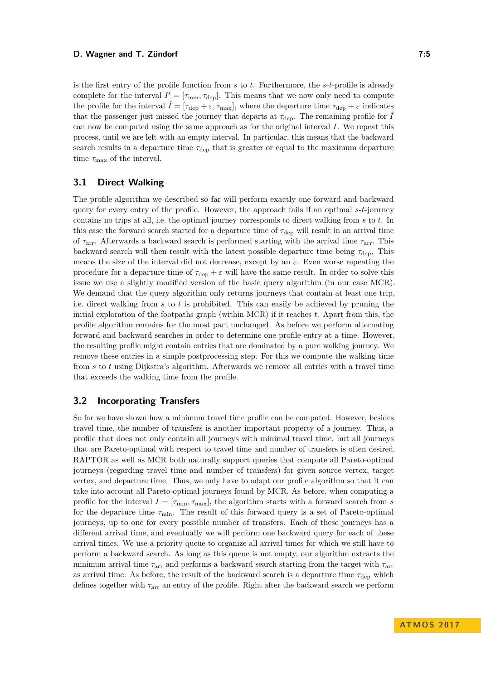is the first entry of the profile function from *s* to *t*. Furthermore, the *s*-*t*-profile is already complete for the interval  $I' = [\tau_{\min}, \tau_{\text{dep}}]$ . This means that we now only need to compute the profile for the interval  $\tilde{I} = [\tau_{\text{dep}} + \varepsilon, \tau_{\text{max}}]$ , where the departure time  $\tau_{\text{dep}} + \varepsilon$  indicates that the passenger just missed the journey that departs at  $\tau_{\text{dep}}$ . The remaining profile for  $\ddot{I}$ can now be computed using the same approach as for the original interval *I*. We repeat this process, until we are left with an empty interval. In particular, this means that the backward search results in a departure time  $\tau_{\text{dep}}$  that is greater or equal to the maximum departure time  $\tau_{\text{max}}$  of the interval.

# **3.1 Direct Walking**

The profile algorithm we described so far will perform exactly one forward and backward query for every entry of the profile. However, the approach fails if an optimal *s*-*t*-journey contains no trips at all, i.e. the optimal journey corresponds to direct walking from *s* to *t*. In this case the forward search started for a departure time of *τ*dep will result in an arrival time of *τ*arr. Afterwards a backward search is performed starting with the arrival time *τ*arr. This backward search will then result with the latest possible departure time being *τ*dep. This means the size of the interval did not decrease, except by an  $\varepsilon$ . Even worse repeating the procedure for a departure time of  $\tau_{\text{den}} + \varepsilon$  will have the same result. In order to solve this issue we use a slightly modified version of the basic query algorithm (in our case MCR). We demand that the query algorithm only returns journeys that contain at least one trip, i.e. direct walking from *s* to *t* is prohibited. This can easily be achieved by pruning the initial exploration of the footpaths graph (within MCR) if it reaches *t*. Apart from this, the profile algorithm remains for the most part unchanged. As before we perform alternating forward and backward searches in order to determine one profile entry at a time. However, the resulting profile might contain entries that are dominated by a pure walking journey. We remove these entries in a simple postprocessing step. For this we compute the walking time from *s* to *t* using Dijkstra's algorithm. Afterwards we remove all entries with a travel time that exceeds the walking time from the profile.

# **3.2 Incorporating Transfers**

So far we have shown how a minimum travel time profile can be computed. However, besides travel time, the number of transfers is another important property of a journey. Thus, a profile that does not only contain all journeys with minimal travel time, but all journeys that are Pareto-optimal with respect to travel time and number of transfers is often desired. RAPTOR as well as MCR both naturally support queries that compute all Pareto-optimal journeys (regarding travel time and number of transfers) for given source vertex, target vertex, and departure time. Thus, we only have to adapt our profile algorithm so that it can take into account all Pareto-optimal journeys found by MCR. As before, when computing a profile for the interval  $I = [\tau_{\min}, \tau_{\max}]$ , the algorithm starts with a forward search from *s* for the departure time  $\tau_{\text{min}}$ . The result of this forward query is a set of Pareto-optimal journeys, up to one for every possible number of transfers. Each of these journeys has a different arrival time, and eventually we will perform one backward query for each of these arrival times. We use a priority queue to organize all arrival times for which we still have to perform a backward search. As long as this queue is not empty, our algorithm extracts the minimum arrival time *τ*arr and performs a backward search starting from the target with *τ*arr as arrival time. As before, the result of the backward search is a departure time  $\tau_{\text{dep}}$  which defines together with *τ*arr an entry of the profile. Right after the backward search we perform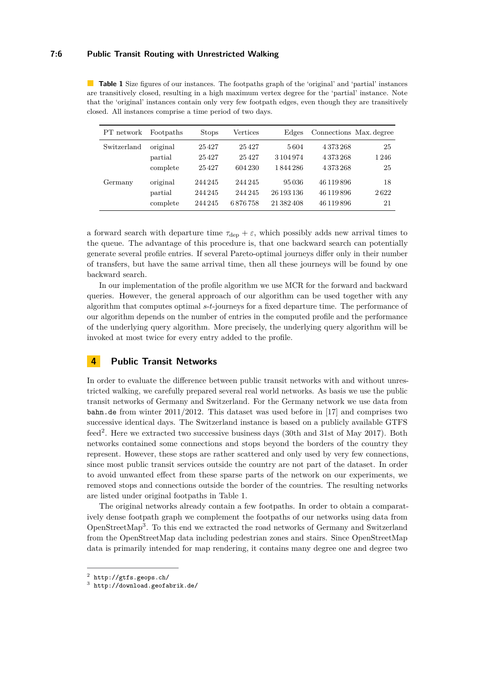#### **7:6 Public Transit Routing with Unrestricted Walking**

| PT network  | Footpaths | <b>Stops</b> | Vertices | Edges      | Connections Max. degree |      |
|-------------|-----------|--------------|----------|------------|-------------------------|------|
| Switzerland | original  | 25427        | 25427    | 5604       | 4373268                 | 25   |
|             | partial   | 25427        | 25427    | 3 104 974  | 4373268                 | 1246 |
|             | complete  | 25427        | 604 230  | 1844286    | 4373268                 | 25   |
| Germany     | original  | 244 245      | 244 245  | 95036      | 46 119 896              | 18   |
|             | partial   | 244 245      | 244 245  | 26 193 136 | 46 119 896              | 2622 |
|             | complete  | 244 245      | 6876758  | 21 382 408 | 46 119 896              | 21   |

<span id="page-5-2"></span>**Table 1** Size figures of our instances. The footpaths graph of the 'original' and 'partial' instances are transitively closed, resulting in a high maximum vertex degree for the 'partial' instance. Note that the 'original' instances contain only very few footpath edges, even though they are transitively closed. All instances comprise a time period of two days.

a forward search with departure time  $\tau_{\text{dep}} + \varepsilon$ , which possibly adds new arrival times to the queue. The advantage of this procedure is, that one backward search can potentially generate several profile entries. If several Pareto-optimal journeys differ only in their number of transfers, but have the same arrival time, then all these journeys will be found by one backward search.

In our implementation of the profile algorithm we use MCR for the forward and backward queries. However, the general approach of our algorithm can be used together with any algorithm that computes optimal *s*-*t*-journeys for a fixed departure time. The performance of our algorithm depends on the number of entries in the computed profile and the performance of the underlying query algorithm. More precisely, the underlying query algorithm will be invoked at most twice for every entry added to the profile.

# <span id="page-5-0"></span>**4 Public Transit Networks**

In order to evaluate the difference between public transit networks with and without unrestricted walking, we carefully prepared several real world networks. As basis we use the public transit networks of Germany and Switzerland. For the Germany network we use data from bahn.de from winter 2011/2012. This dataset was used before in [\[17\]](#page-13-2) and comprises two successive identical days. The Switzerland instance is based on a publicly available GTFS feed<sup>[2](#page-5-1)</sup>. Here we extracted two successive business days (30th and 31st of May 2017). Both networks contained some connections and stops beyond the borders of the country they represent. However, these stops are rather scattered and only used by very few connections, since most public transit services outside the country are not part of the dataset. In order to avoid unwanted effect from these sparse parts of the network on our experiments, we removed stops and connections outside the border of the countries. The resulting networks are listed under original footpaths in Table [1.](#page-5-2)

The original networks already contain a few footpaths. In order to obtain a comparatively dense footpath graph we complement the footpaths of our networks using data from OpenStreetMap[3](#page-5-3) . To this end we extracted the road networks of Germany and Switzerland from the OpenStreetMap data including pedestrian zones and stairs. Since OpenStreetMap data is primarily intended for map rendering, it contains many degree one and degree two

<span id="page-5-1"></span> $^2$  <http://gtfs.geops.ch/>

<span id="page-5-3"></span><sup>3</sup> <http://download.geofabrik.de/>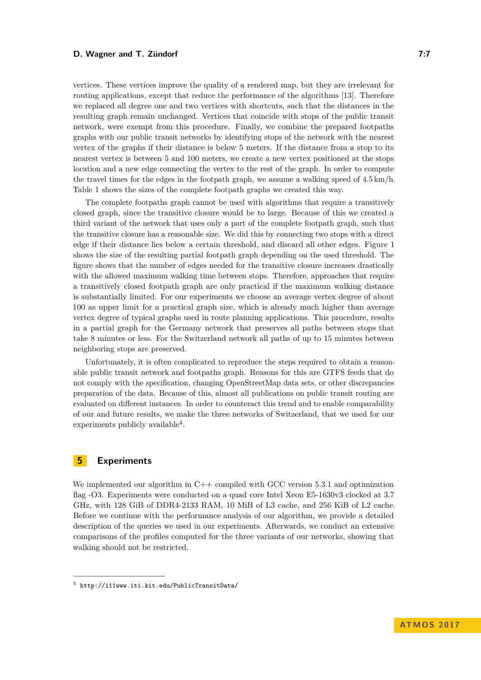vertices. These vertices improve the quality of a rendered map, but they are irrelevant for routing applications, except that reduce the performance of the algorithms [\[13\]](#page-13-10). Therefore we replaced all degree one and two vertices with shortcuts, such that the distances in the resulting graph remain unchanged. Vertices that coincide with stops of the public transit network, were exempt from this procedure. Finally, we combine the prepared footpaths graphs with our public transit networks by identifying stops of the network with the nearest vertex of the graphs if their distance is below 5 meters. If the distance from a stop to its nearest vertex is between 5 and 100 meters, we create a new vertex positioned at the stops location and a new edge connecting the vertex to the rest of the graph. In order to compute the travel times for the edges in the footpath graph, we assume a walking speed of  $4.5 \text{ km/h}$ . Table [1](#page-5-2) shows the sizes of the complete footpath graphs we created this way.

The complete footpaths graph cannot be used with algorithms that require a transitively closed graph, since the transitive closure would be to large. Because of this we created a third variant of the network that uses only a part of the complete footpath graph, such that the transitive closure has a reasonable size. We did this by connecting two stops with a direct edge if their distance lies below a certain threshold, and discard all other edges. Figure [1](#page-7-0) shows the size of the resulting partial footpath graph depending on the used threshold. The figure shows that the number of edges needed for the transitive closure increases drastically with the allowed maximum walking time between stops. Therefore, approaches that require a transitively closed footpath graph are only practical if the maximum walking distance is substantially limited. For our experiments we choose an average vertex degree of about 100 as upper limit for a practical graph size, which is already much higher than average vertex degree of typical graphs used in route planning applications. This procedure, results in a partial graph for the Germany network that preserves all paths between stops that take 8 minutes or less. For the Switzerland network all paths of up to 15 minutes between neighboring stops are preserved.

Unfortunately, it is often complicated to reproduce the steps required to obtain a reasonable public transit network and footpaths graph. Reasons for this are GTFS feeds that do not comply with the specification, changing OpenStreetMap data sets, or other discrepancies preparation of the data. Because of this, almost all publications on public transit routing are evaluated on different instances. In order to counteract this trend and to enable comparability of our and future results, we make the three networks of Switzerland, that we used for our experiments publicly available<sup>[4](#page-6-1)</sup>.

## <span id="page-6-0"></span>**5 Experiments**

We implemented our algorithm in  $C++$  compiled with GCC version 5.3.1 and optimization flag -O3. Experiments were conducted on a quad core Intel Xeon E5-1630v3 clocked at 3.7 GHz, with 128 GiB of DDR4-2133 RAM, 10 MiB of L3 cache, and 256 KiB of L2 cache. Before we continue with the performance analysis of our algorithm, we provide a detailed description of the queries we used in our experiments. Afterwards, we conduct an extensive comparisons of the profiles computed for the three variants of our networks, showing that walking should not be restricted.

<span id="page-6-1"></span><sup>4</sup> <http://i11www.iti.kit.edu/PublicTransitData/>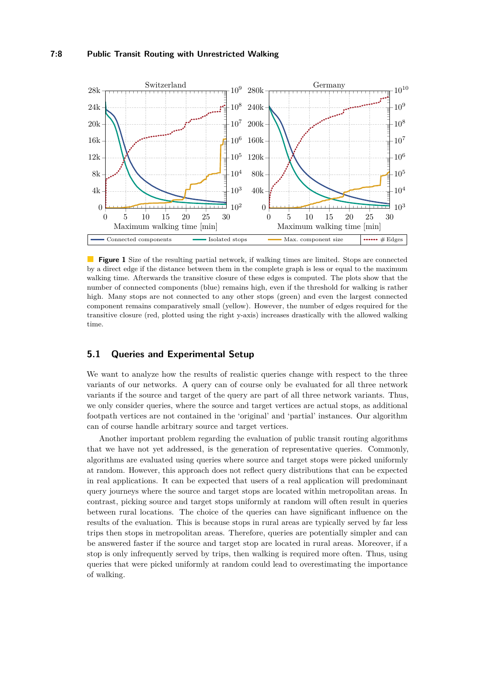<span id="page-7-0"></span>

**Figure 1** Size of the resulting partial network, if walking times are limited. Stops are connected by a direct edge if the distance between them in the complete graph is less or equal to the maximum walking time. Afterwards the transitive closure of these edges is computed. The plots show that the number of connected components (blue) remains high, even if the threshold for walking is rather high. Many stops are not connected to any other stops (green) and even the largest connected component remains comparatively small (yellow). However, the number of edges required for the transitive closure (red, plotted using the right y-axis) increases drastically with the allowed walking time.

# **5.1 Queries and Experimental Setup**

We want to analyze how the results of realistic queries change with respect to the three variants of our networks. A query can of course only be evaluated for all three network variants if the source and target of the query are part of all three network variants. Thus, we only consider queries, where the source and target vertices are actual stops, as additional footpath vertices are not contained in the 'original' and 'partial' instances. Our algorithm can of course handle arbitrary source and target vertices.

Another important problem regarding the evaluation of public transit routing algorithms that we have not yet addressed, is the generation of representative queries. Commonly, algorithms are evaluated using queries where source and target stops were picked uniformly at random. However, this approach does not reflect query distributions that can be expected in real applications. It can be expected that users of a real application will predominant query journeys where the source and target stops are located within metropolitan areas. In contrast, picking source and target stops uniformly at random will often result in queries between rural locations. The choice of the queries can have significant influence on the results of the evaluation. This is because stops in rural areas are typically served by far less trips then stops in metropolitan areas. Therefore, queries are potentially simpler and can be answered faster if the source and target stop are located in rural areas. Moreover, if a stop is only infrequently served by trips, then walking is required more often. Thus, using queries that were picked uniformly at random could lead to overestimating the importance of walking.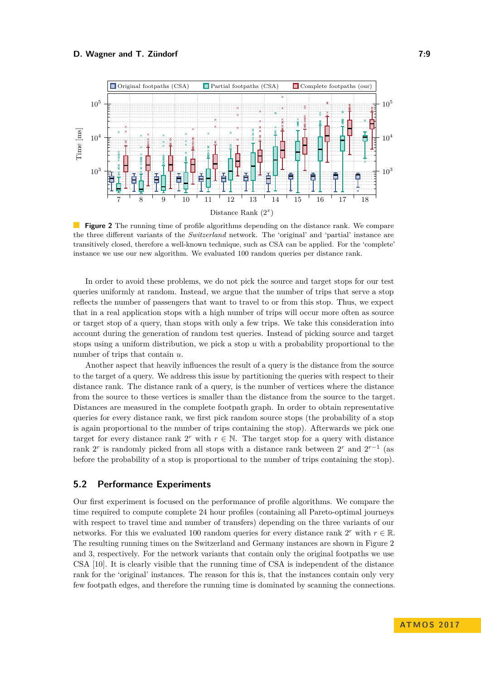<span id="page-8-0"></span>

**Figure 2** The running time of profile algorithms depending on the distance rank. We compare the three different variants of the *Switzerland* network. The 'original' and 'partial' instance are transitively closed, therefore a well-known technique, such as CSA can be applied. For the 'complete' instance we use our new algorithm. We evaluated 100 random queries per distance rank.

In order to avoid these problems, we do not pick the source and target stops for our test queries uniformly at random. Instead, we argue that the number of trips that serve a stop reflects the number of passengers that want to travel to or from this stop. Thus, we expect that in a real application stops with a high number of trips will occur more often as source or target stop of a query, than stops with only a few trips. We take this consideration into account during the generation of random test queries. Instead of picking source and target stops using a uniform distribution, we pick a stop *u* with a probability proportional to the number of trips that contain *u*.

Another aspect that heavily influences the result of a query is the distance from the source to the target of a query. We address this issue by partitioning the queries with respect to their distance rank. The distance rank of a query, is the number of vertices where the distance from the source to these vertices is smaller than the distance from the source to the target. Distances are measured in the complete footpath graph. In order to obtain representative queries for every distance rank, we first pick random source stops (the probability of a stop is again proportional to the number of trips containing the stop). Afterwards we pick one target for every distance rank  $2^r$  with  $r \in \mathbb{N}$ . The target stop for a query with distance rank  $2^r$  is randomly picked from all stops with a distance rank between  $2^r$  and  $2^{r-1}$  (as before the probability of a stop is proportional to the number of trips containing the stop).

# **5.2 Performance Experiments**

Our first experiment is focused on the performance of profile algorithms. We compare the time required to compute complete 24 hour profiles (containing all Pareto-optimal journeys with respect to travel time and number of transfers) depending on the three variants of our networks. For this we evaluated 100 random queries for every distance rank  $2^r$  with  $r \in \mathbb{R}$ . The resulting running times on the Switzerland and Germany instances are shown in Figure [2](#page-8-0) and [3,](#page-9-0) respectively. For the network variants that contain only the original footpaths we use CSA [\[10\]](#page-13-1). It is clearly visible that the running time of CSA is independent of the distance rank for the 'original' instances. The reason for this is, that the instances contain only very few footpath edges, and therefore the running time is dominated by scanning the connections.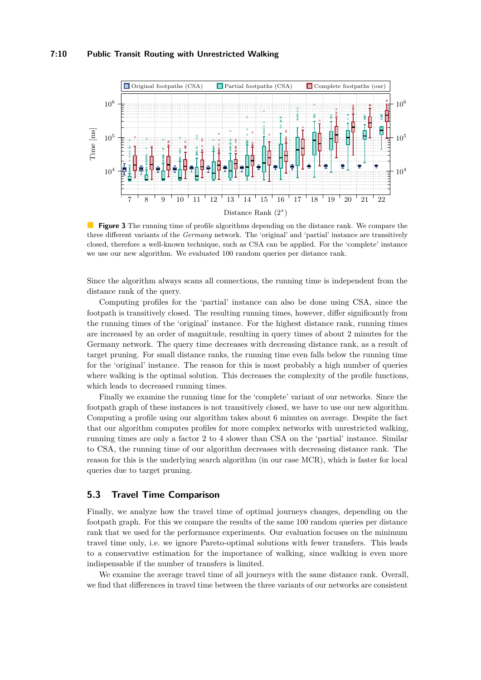## **7:10 Public Transit Routing with Unrestricted Walking**

<span id="page-9-0"></span>

**Figure 3** The running time of profile algorithms depending on the distance rank. We compare the three different variants of the *Germany* network. The 'original' and 'partial' instance are transitively closed, therefore a well-known technique, such as CSA can be applied. For the 'complete' instance we use our new algorithm. We evaluated 100 random queries per distance rank.

Since the algorithm always scans all connections, the running time is independent from the distance rank of the query.

Computing profiles for the 'partial' instance can also be done using CSA, since the footpath is transitively closed. The resulting running times, however, differ significantly from the running times of the 'original' instance. For the highest distance rank, running times are increased by an order of magnitude, resulting in query times of about 2 minutes for the Germany network. The query time decreases with decreasing distance rank, as a result of target pruning. For small distance ranks, the running time even falls below the running time for the 'original' instance. The reason for this is most probably a high number of queries where walking is the optimal solution. This decreases the complexity of the profile functions, which leads to decreased running times.

Finally we examine the running time for the 'complete' variant of our networks. Since the footpath graph of these instances is not transitively closed, we have to use our new algorithm. Computing a profile using our algorithm takes about 6 minutes on average. Despite the fact that our algorithm computes profiles for more complex networks with unrestricted walking, running times are only a factor 2 to 4 slower than CSA on the 'partial' instance. Similar to CSA, the running time of our algorithm decreases with decreasing distance rank. The reason for this is the underlying search algorithm (in our case MCR), which is faster for local queries due to target pruning.

# **5.3 Travel Time Comparison**

Finally, we analyze how the travel time of optimal journeys changes, depending on the footpath graph. For this we compare the results of the same 100 random queries per distance rank that we used for the performance experiments. Our evaluation focuses on the minimum travel time only, i.e. we ignore Pareto-optimal solutions with fewer transfers. This leads to a conservative estimation for the importance of walking, since walking is even more indispensable if the number of transfers is limited.

We examine the average travel time of all journeys with the same distance rank. Overall, we find that differences in travel time between the three variants of our networks are consistent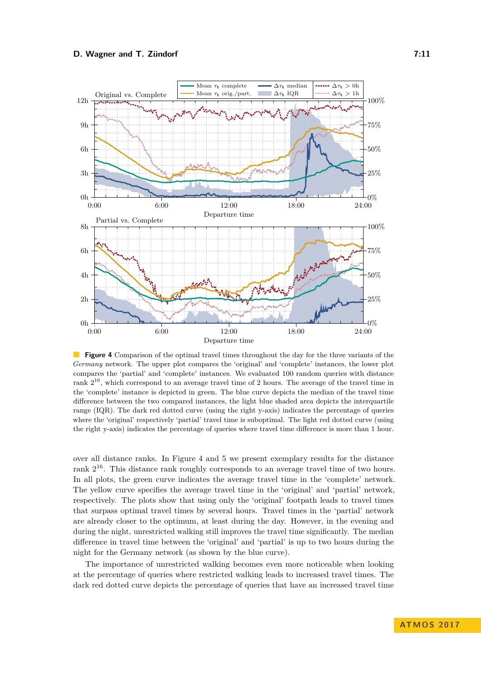<span id="page-10-0"></span>

**Figure 4** Comparison of the optimal travel times throughout the day for the three variants of the *Germany* network. The upper plot compares the 'original' and 'complete' instances, the lower plot compares the 'partial' and 'complete' instances. We evaluated 100 random queries with distance rank  $2^{16}$ , which correspond to an average travel time of 2 hours. The average of the travel time in the 'complete' instance is depicted in green. The blue curve depicts the median of the travel time difference between the two compared instances, the light blue shaded area depicts the interquartile range (IQR). The dark red dotted curve (using the right y-axis) indicates the percentage of queries where the 'original' respectively 'partial' travel time is suboptimal. The light red dotted curve (using the right y-axis) indicates the percentage of queries where travel time difference is more than 1 hour.

over all distance ranks. In Figure [4](#page-10-0) and [5](#page-11-0) we present exemplary results for the distance rank  $2^{16}$ . This distance rank roughly corresponds to an average travel time of two hours. In all plots, the green curve indicates the average travel time in the 'complete' network. The yellow curve specifies the average travel time in the 'original' and 'partial' network, respectively. The plots show that using only the 'original' footpath leads to travel times that surpass optimal travel times by several hours. Travel times in the 'partial' network are already closer to the optimum, at least during the day. However, in the evening and during the night, unrestricted walking still improves the travel time significantly. The median difference in travel time between the 'original' and 'partial' is up to two hours during the night for the Germany network (as shown by the blue curve).

The importance of unrestricted walking becomes even more noticeable when looking at the percentage of queries where restricted walking leads to increased travel times. The dark red dotted curve depicts the percentage of queries that have an increased travel time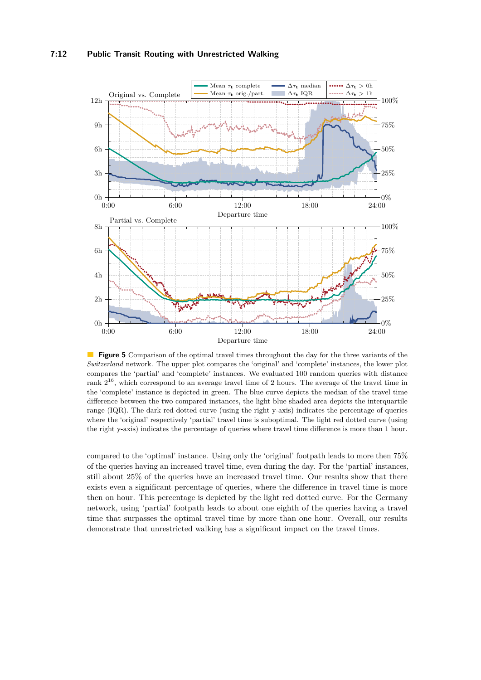<span id="page-11-0"></span>

**Figure 5** Comparison of the optimal travel times throughout the day for the three variants of the *Switzerland* network. The upper plot compares the 'original' and 'complete' instances, the lower plot compares the 'partial' and 'complete' instances. We evaluated 100 random queries with distance rank  $2^{16}$ , which correspond to an average travel time of 2 hours. The average of the travel time in the 'complete' instance is depicted in green. The blue curve depicts the median of the travel time difference between the two compared instances, the light blue shaded area depicts the interquartile range (IQR). The dark red dotted curve (using the right y-axis) indicates the percentage of queries where the 'original' respectively 'partial' travel time is suboptimal. The light red dotted curve (using the right y-axis) indicates the percentage of queries where travel time difference is more than 1 hour.

compared to the 'optimal' instance. Using only the 'original' footpath leads to more then 75% of the queries having an increased travel time, even during the day. For the 'partial' instances, still about 25% of the queries have an increased travel time. Our results show that there exists even a significant percentage of queries, where the difference in travel time is more then on hour. This percentage is depicted by the light red dotted curve. For the Germany network, using 'partial' footpath leads to about one eighth of the queries having a travel time that surpasses the optimal travel time by more than one hour. Overall, our results demonstrate that unrestricted walking has a significant impact on the travel times.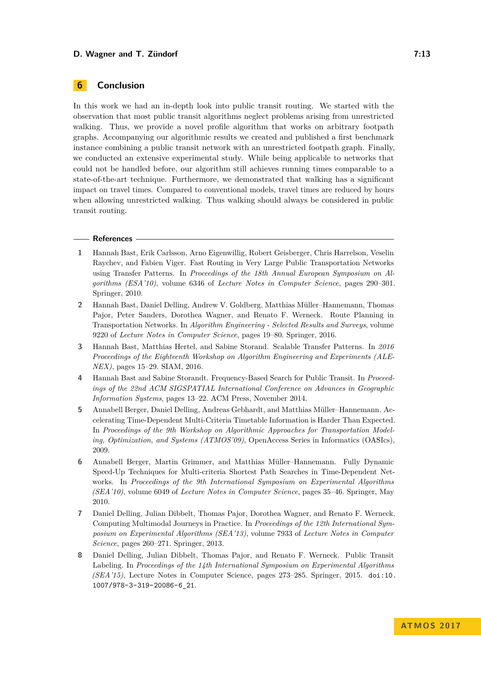# **6 Conclusion**

In this work we had an in-depth look into public transit routing. We started with the observation that most public transit algorithms neglect problems arising from unrestricted walking. Thus, we provide a novel profile algorithm that works on arbitrary footpath graphs. Accompanying our algorithmic results we created and published a first benchmark instance combining a public transit network with an unrestricted footpath graph. Finally, we conducted an extensive experimental study. While being applicable to networks that could not be handled before, our algorithm still achieves running times comparable to a state-of-the-art technique. Furthermore, we demonstrated that walking has a significant impact on travel times. Compared to conventional models, travel times are reduced by hours when allowing unrestricted walking. Thus walking should always be considered in public transit routing.

#### **References**

- <span id="page-12-2"></span>**1** Hannah Bast, Erik Carlsson, Arno Eigenwillig, Robert Geisberger, Chris Harrelson, Veselin Raychev, and Fabien Viger. Fast Routing in Very Large Public Transportation Networks using Transfer Patterns. In *Proceedings of the 18th Annual European Symposium on Algorithms (ESA'10)*, volume 6346 of *Lecture Notes in Computer Science*, pages 290–301. Springer, 2010.
- <span id="page-12-0"></span>**2** Hannah Bast, Daniel Delling, Andrew V. Goldberg, Matthias Müller–Hannemann, Thomas Pajor, Peter Sanders, Dorothea Wagner, and Renato F. Werneck. Route Planning in Transportation Networks. In *Algorithm Engineering - Selected Results and Surveys*, volume 9220 of *Lecture Notes in Computer Science*, pages 19–80. Springer, 2016.
- <span id="page-12-3"></span>**3** Hannah Bast, Matthias Hertel, and Sabine Storand. Scalable Transfer Patterns. In *2016 Proceedings of the Eighteenth Workshop on Algorithm Engineering and Experiments (ALE-NEX)*, pages 15–29. SIAM, 2016.
- <span id="page-12-4"></span>**4** Hannah Bast and Sabine Storandt. Frequency-Based Search for Public Transit. In *Proceedings of the 22nd ACM SIGSPATIAL International Conference on Advances in Geographic Information Systems*, pages 13–22. ACM Press, November 2014.
- <span id="page-12-1"></span>**5** Annabell Berger, Daniel Delling, Andreas Gebhardt, and Matthias Müller–Hannemann. Accelerating Time-Dependent Multi-Criteria Timetable Information is Harder Than Expected. In *Proceedings of the 9th Workshop on Algorithmic Approaches for Transportation Modeling, Optimization, and Systems (ATMOS'09)*, OpenAccess Series in Informatics (OASIcs), 2009.
- <span id="page-12-6"></span>**6** Annabell Berger, Martin Grimmer, and Matthias Müller–Hannemann. Fully Dynamic Speed-Up Techniques for Multi-criteria Shortest Path Searches in Time-Dependent Networks. In *Proceedings of the 9th International Symposium on Experimental Algorithms (SEA'10)*, volume 6049 of *Lecture Notes in Computer Science*, pages 35–46. Springer, May 2010.
- <span id="page-12-7"></span>**7** Daniel Delling, Julian Dibbelt, Thomas Pajor, Dorothea Wagner, and Renato F. Werneck. Computing Multimodal Journeys in Practice. In *Proceedings of the 12th International Symposium on Experimental Algorithms (SEA'13)*, volume 7933 of *Lecture Notes in Computer Science*, pages 260–271. Springer, 2013.
- <span id="page-12-5"></span>**8** Daniel Delling, Julian Dibbelt, Thomas Pajor, and Renato F. Werneck. Public Transit Labeling. In *Proceedings of the 14th International Symposium on Experimental Algorithms (SEA'15)*, Lecture Notes in Computer Science, pages 273–285. Springer, 2015. [doi:10.](http://dx.doi.org/10.1007/978-3-319-20086-6_21) [1007/978-3-319-20086-6\\_21](http://dx.doi.org/10.1007/978-3-319-20086-6_21).